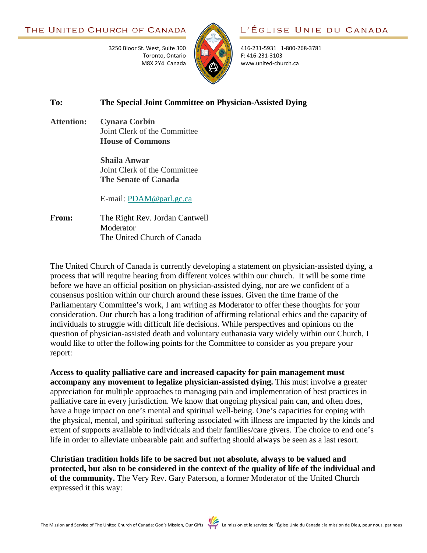

L'ÉGLISE UNIE DU CANADA

416-231-5931 1-800-268-3781 F: 416-231-3103 www.united-church.ca

## **To: The Special Joint Committee on Physician-Assisted Dying**

**Attention: Cynara Corbin** Joint Clerk of the Committee **House of Commons**

> **Shaila Anwar** Joint Clerk of the Committee **The Senate of Canada**

3250 Bloor St. West, Suite 300

Toronto, Ontario M8X 2Y4 Canada

E-mail: [PDAM@parl.gc.ca](mailto:PDAM@parl.gc.ca?subject=Special%20Joint%20Committee%20on%20Physician-Assisted%20Dying)

**From:** The Right Rev. Jordan Cantwell Moderator The United Church of Canada

The United Church of Canada is currently developing a statement on physician-assisted dying, a process that will require hearing from different voices within our church. It will be some time before we have an official position on physician-assisted dying, nor are we confident of a consensus position within our church around these issues. Given the time frame of the Parliamentary Committee's work, I am writing as Moderator to offer these thoughts for your consideration. Our church has a long tradition of affirming relational ethics and the capacity of individuals to struggle with difficult life decisions. While perspectives and opinions on the question of physician-assisted death and voluntary euthanasia vary widely within our Church, I would like to offer the following points for the Committee to consider as you prepare your report:

**Access to quality palliative care and increased capacity for pain management must accompany any movement to legalize physician-assisted dying.** This must involve a greater appreciation for multiple approaches to managing pain and implementation of best practices in palliative care in every jurisdiction. We know that ongoing physical pain can, and often does, have a huge impact on one's mental and spiritual well-being. One's capacities for coping with the physical, mental, and spiritual suffering associated with illness are impacted by the kinds and extent of supports available to individuals and their families/care givers. The choice to end one's life in order to alleviate unbearable pain and suffering should always be seen as a last resort.

**Christian tradition holds life to be sacred but not absolute, always to be valued and protected, but also to be considered in the context of the quality of life of the individual and of the community.** The Very Rev. Gary Paterson, a former Moderator of the United Church expressed it this way: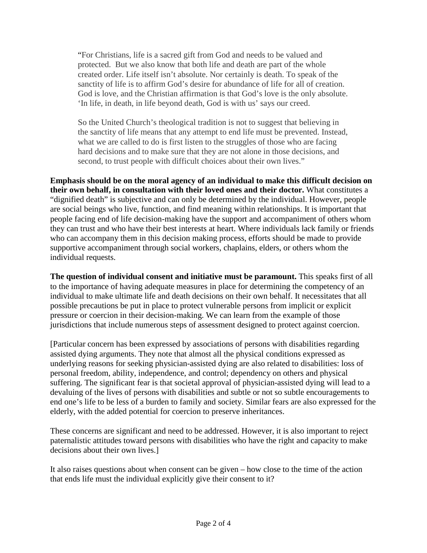"For Christians, life is a sacred gift from God and needs to be valued and protected. But we also know that both life and death are part of the whole created order. Life itself isn't absolute. Nor certainly is death. To speak of the sanctity of life is to affirm God's desire for abundance of life for all of creation. God is love, and the Christian affirmation is that God's love is the only absolute. 'In life, in death, in life beyond death, God is with us' says our creed.

So the United Church's theological tradition is not to suggest that believing in the sanctity of life means that any attempt to end life must be prevented. Instead, what we are called to do is first listen to the struggles of those who are facing hard decisions and to make sure that they are not alone in those decisions, and second, to trust people with difficult choices about their own lives."

**Emphasis should be on the moral agency of an individual to make this difficult decision on their own behalf, in consultation with their loved ones and their doctor.** What constitutes a "dignified death" is subjective and can only be determined by the individual. However, people are social beings who live, function, and find meaning within relationships. It is important that people facing end of life decision-making have the support and accompaniment of others whom they can trust and who have their best interests at heart. Where individuals lack family or friends who can accompany them in this decision making process, efforts should be made to provide supportive accompaniment through social workers, chaplains, elders, or others whom the individual requests.

**The question of individual consent and initiative must be paramount.** This speaks first of all to the importance of having adequate measures in place for determining the competency of an individual to make ultimate life and death decisions on their own behalf. It necessitates that all possible precautions be put in place to protect vulnerable persons from implicit or explicit pressure or coercion in their decision-making. We can learn from the example of those jurisdictions that include numerous steps of assessment designed to protect against coercion.

[Particular concern has been expressed by associations of persons with disabilities regarding assisted dying arguments. They note that almost all the physical conditions expressed as underlying reasons for seeking physician-assisted dying are also related to disabilities: loss of personal freedom, ability, independence, and control; dependency on others and physical suffering. The significant fear is that societal approval of physician-assisted dying will lead to a devaluing of the lives of persons with disabilities and subtle or not so subtle encouragements to end one's life to be less of a burden to family and society. Similar fears are also expressed for the elderly, with the added potential for coercion to preserve inheritances.

These concerns are significant and need to be addressed. However, it is also important to reject paternalistic attitudes toward persons with disabilities who have the right and capacity to make decisions about their own lives.]

It also raises questions about when consent can be given – how close to the time of the action that ends life must the individual explicitly give their consent to it?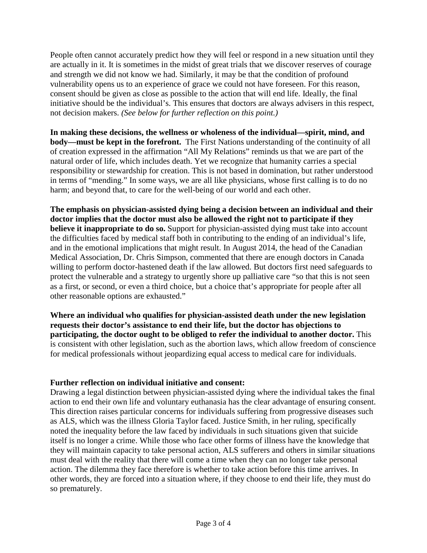People often cannot accurately predict how they will feel or respond in a new situation until they are actually in it. It is sometimes in the midst of great trials that we discover reserves of courage and strength we did not know we had. Similarly, it may be that the condition of profound vulnerability opens us to an experience of grace we could not have foreseen. For this reason, consent should be given as close as possible to the action that will end life. Ideally, the final initiative should be the individual's. This ensures that doctors are always advisers in this respect, not decision makers. *(See below for further reflection on this point.)*

**In making these decisions, the wellness or wholeness of the individual—spirit, mind, and body—must be kept in the forefront.** The First Nations understanding of the continuity of all of creation expressed in the affirmation "All My Relations" reminds us that we are part of the natural order of life, which includes death. Yet we recognize that humanity carries a special responsibility or stewardship for creation. This is not based in domination, but rather understood in terms of "mending." In some ways, we are all like physicians, whose first calling is to do no harm; and beyond that, to care for the well-being of our world and each other.

**The emphasis on physician-assisted dying being a decision between an individual and their doctor implies that the doctor must also be allowed the right not to participate if they believe it inappropriate to do so.** Support for physician-assisted dying must take into account the difficulties faced by medical staff both in contributing to the ending of an individual's life, and in the emotional implications that might result. In August 2014, the head of the Canadian Medical Association, Dr. Chris Simpson, commented that there are enough doctors in Canada willing to perform doctor-hastened death if the law allowed. But doctors first need safeguards to protect the vulnerable and a strategy to urgently shore up palliative care "so that this is not seen as a first, or second, or even a third choice, but a choice that's appropriate for people after all other reasonable options are exhausted."

**Where an individual who qualifies for physician-assisted death under the new legislation requests their doctor's assistance to end their life, but the doctor has objections to participating, the doctor ought to be obliged to refer the individual to another doctor.** This is consistent with other legislation, such as the abortion laws, which allow freedom of conscience for medical professionals without jeopardizing equal access to medical care for individuals.

## **Further reflection on individual initiative and consent:**

Drawing a legal distinction between physician-assisted dying where the individual takes the final action to end their own life and voluntary euthanasia has the clear advantage of ensuring consent. This direction raises particular concerns for individuals suffering from progressive diseases such as ALS, which was the illness Gloria Taylor faced. Justice Smith, in her ruling, specifically noted the inequality before the law faced by individuals in such situations given that suicide itself is no longer a crime. While those who face other forms of illness have the knowledge that they will maintain capacity to take personal action, ALS sufferers and others in similar situations must deal with the reality that there will come a time when they can no longer take personal action. The dilemma they face therefore is whether to take action before this time arrives. In other words, they are forced into a situation where, if they choose to end their life, they must do so prematurely.